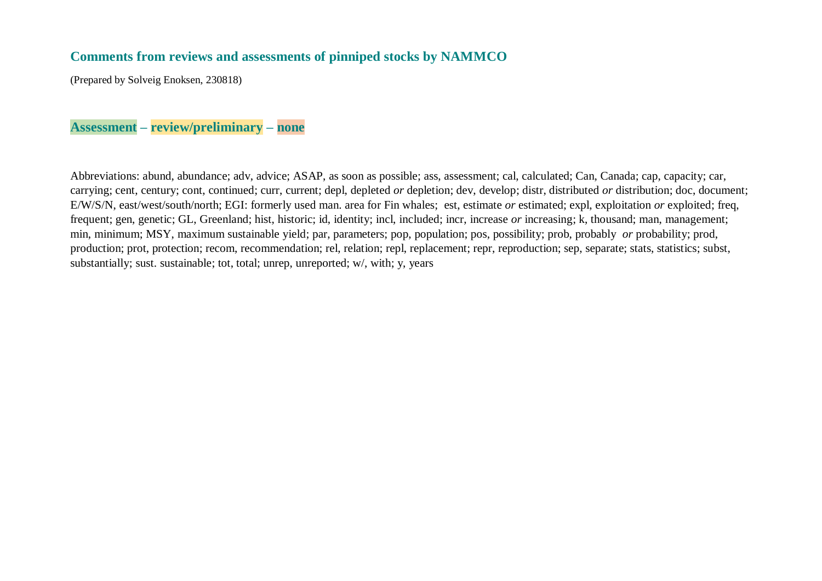## **Comments from reviews and assessments of pinniped stocks by NAMMCO**

(Prepared by Solveig Enoksen, 230818)

## **Assessment – review/preliminary – none**

Abbreviations: abund, abundance; adv, advice; ASAP, as soon as possible; ass, assessment; cal, calculated; Can, Canada; cap, capacity; car, carrying; cent, century; cont, continued; curr, current; depl, depleted *or* depletion; dev, develop; distr, distributed *or* distribution; doc, document; E/W/S/N, east/west/south/north; EGI: formerly used man. area for Fin whales; est, estimate *or* estimated; expl, exploitation *or* exploited; freq, frequent; gen, genetic; GL, Greenland; hist, historic; id, identity; incl, included; incr, increase *or* increasing; k, thousand; man, management; min, minimum; MSY, maximum sustainable yield; par, parameters; pop, population; pos, possibility; prob, probably *or* probability; prod, production; prot, protection; recom, recommendation; rel, relation; repl, replacement; repr, reproduction; sep, separate; stats, statistics; subst, substantially; sust. sustainable; tot, total; unrep, unreported; w/, with; y, years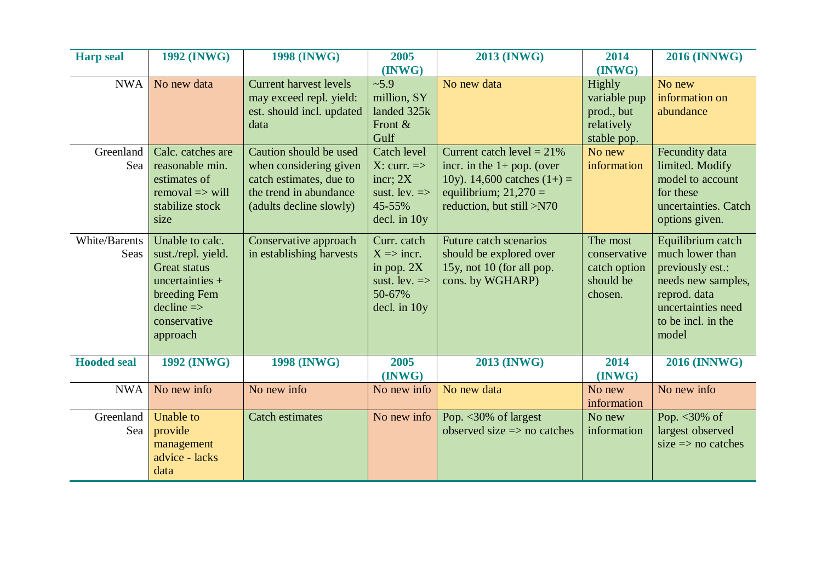| <b>Harp</b> seal      | <b>1992 (INWG)</b>                                                                                                                                            | <b>1998 (INWG)</b>                                                                                                               | 2005                                                                                                                 | <b>2013 (INWG)</b>                                                                                                                                    | 2014                                                                        | <b>2016 (INNWG)</b>                                                                                                                                 |
|-----------------------|---------------------------------------------------------------------------------------------------------------------------------------------------------------|----------------------------------------------------------------------------------------------------------------------------------|----------------------------------------------------------------------------------------------------------------------|-------------------------------------------------------------------------------------------------------------------------------------------------------|-----------------------------------------------------------------------------|-----------------------------------------------------------------------------------------------------------------------------------------------------|
| <b>NWA</b>            | No new data                                                                                                                                                   | <b>Current harvest levels</b><br>may exceed repl. yield:<br>est. should incl. updated<br>data                                    | (INWG)<br>~5.9<br>million, SY<br>landed 325k<br>Front $&$<br>Gulf                                                    | No new data                                                                                                                                           | (INWG)<br>Highly<br>variable pup<br>prod., but<br>relatively<br>stable pop. | No new<br>information on<br>abundance                                                                                                               |
| Greenland<br>Sea      | Calc. catches are<br>reasonable min.<br>estimates of<br>$removal \Rightarrow will$<br>stabilize stock<br>size                                                 | Caution should be used<br>when considering given<br>catch estimates, due to<br>the trend in abundance<br>(adults decline slowly) | Catch level<br>$X:$ curr. $\Rightarrow$<br>incr; $2X$<br>sust. lev. $\Rightarrow$<br>45-55%<br>$\text{del. in } 10y$ | Current catch level = $21\%$<br>incr. in the $1+$ pop. (over<br>10y). 14,600 catches $(1+) =$<br>equilibrium; $21,270 =$<br>reduction, but still >N70 | No new<br>information                                                       | Fecundity data<br>limited. Modify<br>model to account<br>for these<br>uncertainties. Catch<br>options given.                                        |
| White/Barents<br>Seas | Unable to calc.<br>sust./repl. yield.<br><b>Great status</b><br>uncertainties $+$<br>breeding Fem<br>$\text{decline} \Rightarrow$<br>conservative<br>approach | Conservative approach<br>in establishing harvests                                                                                | Curr. catch<br>$X \Rightarrow$ incr.<br>in pop. $2X$<br>sust. lev. $\Rightarrow$<br>50-67%<br>decl. in 10y           | Future catch scenarios<br>should be explored over<br>15y, not 10 (for all pop.<br>cons. by WGHARP)                                                    | The most<br>conservative<br>catch option<br>should be<br>chosen.            | Equilibrium catch<br>much lower than<br>previously est.:<br>needs new samples,<br>reprod. data<br>uncertainties need<br>to be incl. in the<br>model |
| <b>Hooded seal</b>    | <b>1992 (INWG)</b>                                                                                                                                            | <b>1998 (INWG)</b>                                                                                                               | 2005<br>(INWG)                                                                                                       | <b>2013 (INWG)</b>                                                                                                                                    | 2014<br>(INWG)                                                              | <b>2016 (INNWG)</b>                                                                                                                                 |
| <b>NWA</b>            | No new info                                                                                                                                                   | No new info                                                                                                                      | No new info                                                                                                          | No new data                                                                                                                                           | No new<br>information                                                       | No new info                                                                                                                                         |
| Greenland<br>Sea      | Unable to<br>provide<br>management<br>advice - lacks<br>data                                                                                                  | <b>Catch estimates</b>                                                                                                           | No new info                                                                                                          | Pop. $<$ 30% of largest<br>observed size $\Rightarrow$ no catches                                                                                     | No new<br>information                                                       | Pop. $<$ 30% of<br>largest observed<br>size $\Rightarrow$ no catches                                                                                |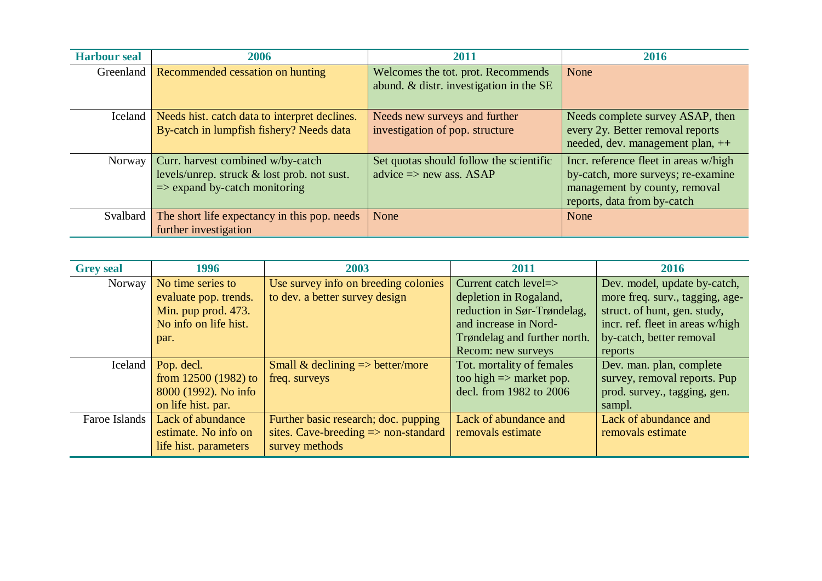| <b>Harbour seal</b> | 2006                                                                                                                         | 2011                                                                          | 2016                                                                                                                                        |
|---------------------|------------------------------------------------------------------------------------------------------------------------------|-------------------------------------------------------------------------------|---------------------------------------------------------------------------------------------------------------------------------------------|
| Greenland           | Recommended cessation on hunting                                                                                             | Welcomes the tot. prot. Recommends<br>abund. & distr. investigation in the SE | None                                                                                                                                        |
| Iceland             | Needs hist. catch data to interpret declines.<br>By-catch in lumpfish fishery? Needs data                                    | Needs new surveys and further<br>investigation of pop. structure              | Needs complete survey ASAP, then<br>every 2y. Better removal reports<br>needed, dev. management plan, ++                                    |
| Norway              | Curr. harvest combined w/by-catch<br>levels/unrep. struck & lost prob. not sust.<br>$\Rightarrow$ expand by-catch monitoring | Set quotas should follow the scientific<br>advice $\Rightarrow$ new ass. ASAP | Incr. reference fleet in areas w/high<br>by-catch, more surveys; re-examine<br>management by county, removal<br>reports, data from by-catch |
| Svalbard            | The short life expectancy in this pop. needs<br>further investigation                                                        | None                                                                          | None                                                                                                                                        |

| <b>Grey seal</b> | 1996                  | 2003                                            | 2011                               | 2016                             |
|------------------|-----------------------|-------------------------------------------------|------------------------------------|----------------------------------|
| Norway           | No time series to     | Use survey info on breeding colonies            | Current catch level=>              | Dev. model, update by-catch,     |
|                  | evaluate pop. trends. | to dev. a better survey design                  | depletion in Rogaland,             | more freq. surv., tagging, age-  |
|                  | Min. pup prod. 473.   |                                                 | reduction in Sør-Trøndelag,        | struct. of hunt, gen. study,     |
|                  | No info on life hist. |                                                 | and increase in Nord-              | incr. ref. fleet in areas w/high |
|                  | par.                  |                                                 | Trøndelag and further north.       | by-catch, better removal         |
|                  |                       |                                                 | Recom: new surveys                 | reports                          |
| Iceland          | Pop. decl.            | Small & declining $\Rightarrow$ better/more     | Tot. mortality of females          | Dev. man. plan, complete         |
|                  | from $12500(1982)$ to | freq. surveys                                   | too high $\Rightarrow$ market pop. | survey, removal reports. Pup     |
|                  | 8000 (1992). No info  |                                                 | decl. from 1982 to 2006            | prod. survey., tagging, gen.     |
|                  | on life hist. par.    |                                                 |                                    | sampl.                           |
| Faroe Islands    | Lack of abundance     | Further basic research; doc. pupping            | Lack of abundance and              | Lack of abundance and            |
|                  | estimate. No info on  | sites. Cave-breeding $\Rightarrow$ non-standard | removals estimate                  | removals estimate                |
|                  | life hist. parameters | survey methods                                  |                                    |                                  |